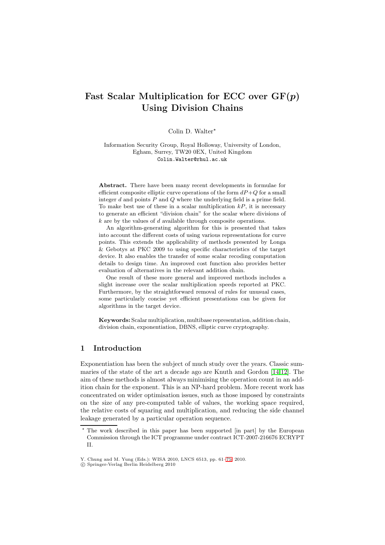# **Fast Scalar Multiplication for ECC over GF(***p***) Using Division Chains**

Colin D. Walter<sup>\*</sup>

Information Security Group, Royal Holloway, University of London, Egham, Surrey, TW20 0EX, United Kingdom Colin.Walter@rhul.ac.uk

**Abstract.** There have been many recent developments in formulae for efficient composite elliptic curve operations of the form  $dP+Q$  for a small integer  $d$  and points  $P$  and  $Q$  where the underlying field is a prime field. To make best use of these in a scalar multiplication  $kP$ , it is necessary to generate an efficient "division chain" for the scalar where divisions of  $k$  are by the values of  $d$  available through composite operations.

An algorithm-generating algorithm for this is presented that takes into account the different costs of using various representations for curve points. This extends the applicability of methods presented by Longa & Gebotys at PKC 2009 to using specific characteristics of the target device. It also enables the transfer of some scalar recoding computation details to design time. An improved cost function also provides better evaluation of alternatives in the relevant addition chain.

One result of these more general and improved methods includes a slight increase over the scalar multiplication speeds reported at PKC. Furthermore, by the straightforward removal of rules for unusual cases, some particularly concise yet efficient presentations can be given for algorithms in the target device.

**Keywords:** Scalar multiplication, multibase representation, addition chain, division chain, exponentiation, DBNS, elliptic curve cryptography.

### **1 Introduction**

Exponentiation has been the subject of much study over the years. Classic summaries of the state of the art a decade ago are Knuth and Gordon [\[14](#page-12-0)[,12\]](#page-11-0). The aim of these methods is almost always minimising the operation count in an addition chain for the exponent. This is an NP-hard problem. More recent work has concentrated on wider optimisation issues, such as those imposed by constraints on the size of any pre-computed table of values, the working space required, the relative costs of squaring and multiplication, and reducing the side channel leakage generated by a particular operation sequence.

<sup>\*</sup> The work described in this paper has been supported [in part] by the European Commission through the ICT programme under contract ICT-2007-216676 ECRYPT II.

Y. Chung and M. Yung (Eds.): WISA 2010, LNCS 6513, pp. 61[–75,](#page-14-0) 2010.

<sup>-</sup>c Springer-Verlag Berlin Heidelberg 2010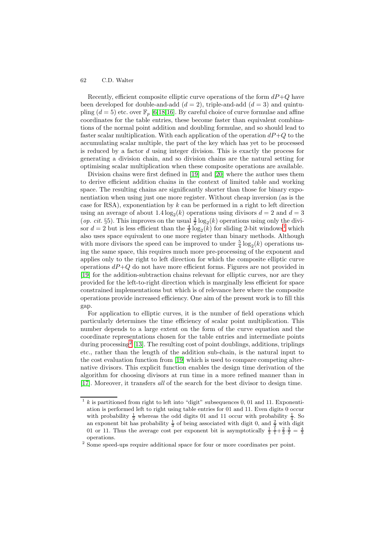Recently, efficient composite elliptic curve operations of the form  $dP+Q$  have been developed for double-and-add  $(d = 2)$ , triple-and-add  $(d = 3)$  and quintupling  $(d = 5)$  etc. over  $\mathbb{F}_p$  [\[6](#page-11-1)[,18,](#page-12-1)[16\]](#page-12-2). By careful choice of curve formulae and affine coordinates for the table entries, these become faster than equivalent combinations of the normal point addition and doubling formulae, and so should lead to faster scalar multiplication. With each application of the operation  $dP+Q$  to the accumulating scalar multiple, the part of the key which has yet to be processed is reduced by a factor d using integer division. This is exactly the process for generating a division chain, and so division chains are the natural setting for optimising scalar multiplication when these composite operations are available.

Division chains were first defined in [\[19\]](#page-12-3) and [\[20\]](#page-12-4) where the author uses them to derive efficient addition chains in the context of limited table and working space. The resulting chains are significantly shorter than those for binary exponentiation when using just one more register. Without cheap inversion (as is the case for RSA), exponentiation by  $k$  can be performed in a right to left direction using an average of about  $1.4 \log_2(k)$  operations using divisors  $d = 2$  and  $d = 3$ (*op. cit.* §5). This improves on the usual  $\frac{3}{2} \log_2(k)$  operations using only the divisor  $d = 2$  but is less efficient than the  $\frac{4}{3} \log_2(k)$  for sliding 2-bit windows<sup>[1](#page-1-0)</sup> which also uses space equivalent to one more register than binary methods. Although with more divisors the speed can be improved to under  $\frac{5}{4} \log_2(k)$  operations using the same space, this requires much more pre-processing of the exponent and applies only to the right to left direction for which the composite elliptic curve operations  $dP+Q$  do not have more efficient forms. Figures are not provided in [\[19\]](#page-12-3) for the addition-subtraction chains relevant for elliptic curves, nor are they provided for the left-to-right direction which is marginally less efficient for space constrained implementations but which is of relevance here where the composite operations provide increased efficiency. One aim of the present work is to fill this gap.

For application to elliptic curves, it is the number of field operations which particularly determines the time efficiency of scalar point multiplication. This number depends to a large extent on the form of the curve equation and the coordinate representations chosen for the table entries and intermediate points during processing<sup>[2](#page-1-1)</sup> [\[13\]](#page-11-2). The resulting cost of point doublings, additions, triplings etc., rather than the length of the addition sub-chain, is the natural input to the cost evaluation function from [\[19\]](#page-12-3) which is used to compare competing alternative divisors. This explicit function enables the design time derivation of the algorithm for choosing divisors at run time in a more refined manner than in [\[17\]](#page-12-5). Moreover, it transfers *all* of the search for the best divisor to design time.

<span id="page-1-0"></span> $k$  is partitioned from right to left into "digit" subsequences 0, 01 and 11. Exponentiation is performed left to right using table entries for 01 and 11. Even digits 0 occur with probability  $\frac{1}{2}$  whereas the odd digits 01 and 11 occur with probability  $\frac{1}{4}$ . So an exponent bit has probability  $\frac{1}{3}$  of being associated with digit 0, and  $\frac{2}{3}$  with digit 01 or 11. Thus the average cost per exponent bit is asymptotically  $\frac{1}{3} \cdot \frac{1}{1} + \frac{2}{3} \cdot \frac{3}{2} = \frac{4}{3}$ operations.

<span id="page-1-1"></span><sup>&</sup>lt;sup>2</sup> Some speed-ups require additional space for four or more coordinates per point.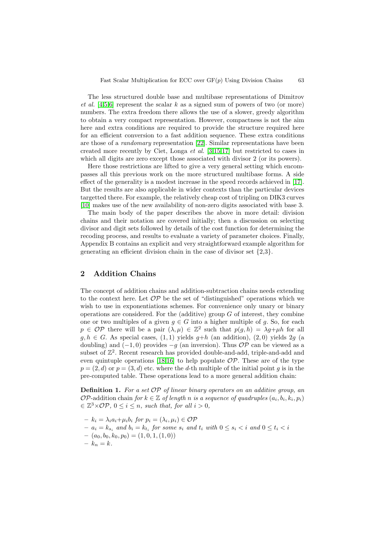The less structured double base and multibase representations of Dimitrov *et al.* [\[4](#page-11-3)[,5,](#page-11-4)[6\]](#page-11-1) represent the scalar k as a signed sum of powers of two (or more) numbers. The extra freedom there allows the use of a slower, greedy algorithm to obtain a very compact representation. However, compactness is not the aim here and extra conditions are required to provide the structure required here for an efficient conversion to a fast addition sequence. These extra conditions are those of a *randomary* representation [\[22\]](#page-12-6). Similar representations have been created more recently by Ciet, Longa *et al.* [\[3](#page-11-5)[,15](#page-12-7)[,17\]](#page-12-5) but restricted to cases in which all digits are zero except those associated with divisor 2 (or its powers).

Here those restrictions are lifted to give a very general setting which encompasses all this previous work on the more structured multibase forms. A side effect of the generality is a modest increase in the speed records achieved in [\[17\]](#page-12-5). But the results are also applicable in wider contexts than the particular devices targetted there. For example, the relatively cheap cost of tripling on DIK3 curves [\[10\]](#page-11-6) makes use of the new availability of non-zero digits associated with base 3.

The main body of the paper describes the above in more detail: division chains and their notation are covered initially; then a discussion on selecting divisor and digit sets followed by details of the cost function for determining the recoding process, and results to evaluate a variety of parameter choices. Finally, Appendix B contains an explicit and very straightforward example algorithm for generating an efficient division chain in the case of divisor set  $\{2,3\}$ .

# **2 Addition Chains**

The concept of addition chains and addition-subtraction chains needs extending to the context here. Let  $\mathcal{OP}$  be the set of "distinguished" operations which we wish to use in exponentiations schemes. For convenience only unary or binary operations are considered. For the (additive) group  $G$  of interest, they combine one or two multiples of a given  $q \in G$  into a higher multiple of q. So, for each  $p \in \mathcal{OP}$  there will be a pair  $(\lambda, \mu) \in \mathbb{Z}^2$  such that  $p(q, h) = \lambda q + \mu h$  for all  $g, h \in G$ . As special cases,  $(1, 1)$  yields  $g+h$  (an addition),  $(2, 0)$  yields  $2g$  (a doubling) and  $(-1, 0)$  provides  $-g$  (an inversion). Thus  $\mathcal{OP}$  can be viewed as a subset of  $\mathbb{Z}^2$ . Recent research has provided double-and-add, triple-and-add and even quintuple operations [\[18](#page-12-1)[,16\]](#page-12-2) to help populate  $\mathcal{OP}$ . These are of the type  $p = (2, d)$  or  $p = (3, d)$  etc. where the d-th multiple of the initial point g is in the pre-computed table. These operations lead to a more general addition chain:

**Definition 1.** *For a set* OP *of linear binary operators on an additive group, an*  $OP$ -addition chain *for*  $k \in \mathbb{Z}$  *of length n is a sequence of quadruples*  $(a_i, b_i, k_i, p_i)$  $\epsilon \in \mathbb{Z}^3 \times \mathcal{OP}, 0 \leq i \leq n$ , such that, for all  $i > 0$ ,

- $k_i = \lambda_i a_i + \mu_i b_i$  for  $p_i = (\lambda_i, \mu_i) \in \mathcal{OP}$
- $a_i = k_{s_i}$  and  $b_i = k_{t_i}$  for some  $s_i$  and  $t_i$  with  $0 \le s_i < i$  and  $0 \le t_i < i$
- $-$  (a<sub>0</sub>, b<sub>0</sub>, k<sub>0</sub>, p<sub>0</sub>) = (1, 0, 1, (1, 0))

$$
-k_n=k.
$$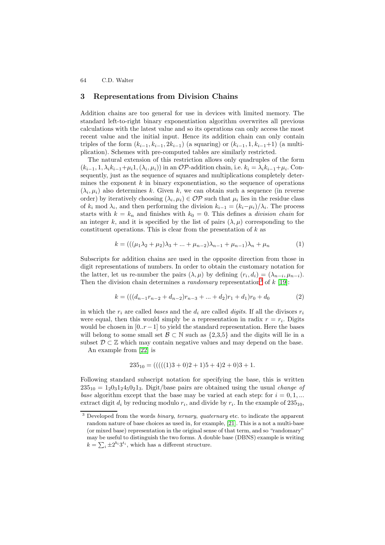## **3 Representations from Division Chains**

Addition chains are too general for use in devices with limited memory. The standard left-to-right binary exponentiation algorithm overwrites all previous calculations with the latest value and so its operations can only access the most recent value and the initial input. Hence its addition chain can only contain triples of the form  $(k_{i-1}, k_{i-1}, 2k_{i-1})$  (a squaring) or  $(k_{i-1}, 1, k_{i-1}+1)$  (a multiplication). Schemes with pre-computed tables are similarly restricted.

The natural extension of this restriction allows only quadruples of the form  $(k_{i-1}, 1, \lambda_i k_{i-1}+\mu_i 1, (\lambda_i, \mu_i))$  in an OP-addition chain, i.e.  $k_i = \lambda_i k_{i-1}+\mu_i$ . Consequently, just as the sequence of squares and multiplications completely determines the exponent  $k$  in binary exponentiation, so the sequence of operations  $(\lambda_i, \mu_i)$  also determines k. Given k, we can obtain such a sequence (in reverse order) by iteratively choosing  $(\lambda_i, \mu_i) \in \mathcal{OP}$  such that  $\mu_i$  lies in the residue class of  $k_i$  mod  $\lambda_i$ , and then performing the division  $k_{i-1} = (k_i - \mu_i)/\lambda_i$ . The process starts with  $k = k_n$  and finishes with  $k_0 = 0$ . This defines a *division chain* for an integer k, and it is specified by the list of pairs  $(\lambda, \mu)$  corresponding to the constituent operations. This is clear from the presentation of  $k$  as

$$
k = (((\mu_1 \lambda_2 + \mu_2) \lambda_3 + ... + \mu_{n-2}) \lambda_{n-1} + \mu_{n-1}) \lambda_n + \mu_n
$$
 (1)

Subscripts for addition chains are used in the opposite direction from those in digit representations of numbers. In order to obtain the customary notation for the latter, let us re-number the pairs  $(\lambda, \mu)$  by defining  $(r_i, d_i)=(\lambda_{n-i}, \mu_{n-i}).$ Then the division chain determines a *randomary* representation<sup>[3](#page-3-0)</sup> of k [\[19\]](#page-12-3):

$$
k = (((d_{n-1}r_{n-2} + d_{n-2})r_{n-3} + ... + d_2)r_1 + d_1)r_0 + d_0
$$
\n(2)

in which the  $r_i$  are called *bases* and the  $d_i$  are called *digits*. If all the divisors  $r_i$ were equal, then this would simply be a representation in radix  $r = r_i$ . Digits would be chosen in  $[0..r-1]$  to yield the standard representation. Here the bases will belong to some small set  $\mathcal{B} \subset \mathbb{N}$  such as  $\{2,3,5\}$  and the digits will lie in a subset  $\mathcal{D} \subset \mathbb{Z}$  which may contain negative values and may depend on the base.

An example from [\[22\]](#page-12-6) is

$$
235_{10} = (((((1)3 + 0)2 + 1)5 + 4)2 + 0)3 + 1.
$$

Following standard subscript notation for specifying the base, this is written  $235_{10} = 1_20_31_24_50_21_3$ . Digit/base pairs are obtained using the usual *change of base* algorithm except that the base may be varied at each step: for  $i = 0, 1, ...$ extract digit  $d_i$  by reducing modulo  $r_i$ , and divide by  $r_i$ . In the example of 235<sub>10</sub>,

<span id="page-3-0"></span><sup>3</sup> Developed from the words *binary*, *ternary*, *quaternary* etc. to indicate the apparent random nature of base choices as used in, for example, [\[21\]](#page-12-8). This is a not a multi-base (or mixed base) representation in the original sense of that term, and so "randomary" may be useful to distinguish the two forms. A double base (DBNS) example is writing  $k = \sum_i \pm 2^{b_i} 3^{t_i}$ , which has a different structure.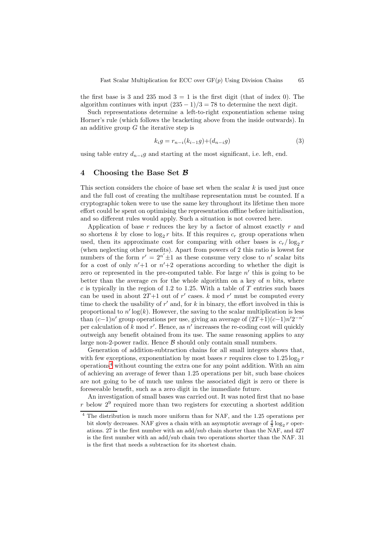the first base is 3 and 235 mod  $3 = 1$  is the first digit (that of index 0). The algorithm continues with input  $(235 - 1)/3 = 78$  to determine the next digit.

Such representations determine a left-to-right exponentiation scheme using Horner's rule (which follows the bracketing above from the inside outwards). In an additive group  $G$  the iterative step is

<span id="page-4-2"></span>
$$
k_i g = r_{n-i}(k_{i-1}g) + (d_{n-i}g) \tag{3}
$$

using table entry  $d_{n-i}g$  and starting at the most significant, i.e. left, end.

### <span id="page-4-1"></span>**4 Choosing the Base Set** *B*

This section considers the choice of base set when the scalar  $k$  is used just once and the full cost of creating the multibase representation must be counted. If a cryptographic token were to use the same key throughout its lifetime then more effort could be spent on optimising the representation offline before initialisation, and so different rules would apply. Such a situation is not covered here.

Application of base r reduces the key by a factor of almost exactly r and so shortens k by close to  $\log_2 r$  bits. If this requires  $c_r$  group operations when used, then its approximate cost for comparing with other bases is  $c_r / \log_2 r$ (when neglecting other benefits). Apart from powers of 2 this ratio is lowest for numbers of the form  $r' = 2^{n'} \pm 1$  as these consume very close to n' scalar bits for a cost of only  $n'+1$  or  $n'+2$  operations according to whether the digit is zero or represented in the pre-computed table. For large  $n'$  this is going to be better than the average cn for the whole algorithm on a key of  $n$  bits, where c is typically in the region of 1.2 to 1.25. With a table of  $T$  entries such bases can be used in about  $2T+1$  out of r' cases. k mod r' must be computed every time to check the usability of  $r'$  and, for k in binary, the effort involved in this is proportional to  $n' \log(k)$ . However, the saving to the scalar multiplication is less than  $(c-1)n'$  group operations per use, giving an average of  $(2T+1)(c-1)n'2^{-n'}$ per calculation of k mod r'. Hence, as n' increases the re-coding cost will quickly outweigh any benefit obtained from its use. The same reasoning applies to any large non-2-power radix. Hence  $\beta$  should only contain small numbers.

Generation of addition-subtraction chains for all small integers shows that, with few exceptions, exponentiation by most bases r requires close to  $1.25 \log_{2} r$ operations[4](#page-4-0) without counting the extra one for any point addition. With an aim of achieving an average of fewer than 1.25 operations per bit, such base choices are not going to be of much use unless the associated digit is zero or there is foreseeable benefit, such as a zero digit in the immediate future.

An investigation of small bases was carried out. It was noted first that no base r below  $2^9$  required more than two registers for executing a shortest addition

<span id="page-4-0"></span><sup>4</sup> The distribution is much more uniform than for NAF, and the 1.25 operations per bit slowly decreases. NAF gives a chain with an asymptotic average of  $\frac{4}{3} \log_2 r$  operations. 27 is the first number with an add/sub chain shorter than the NAF, and 427 is the first number with an add/sub chain two operations shorter than the NAF. 31 is the first that needs a subtraction for its shortest chain.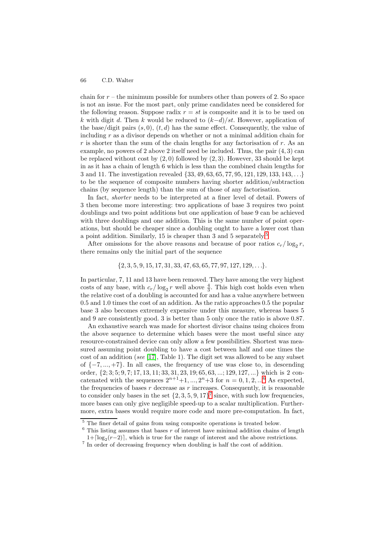chain for  $r$  – the minimum possible for numbers other than powers of 2. So space is not an issue. For the most part, only prime candidates need be considered for the following reason. Suppose radix  $r = st$  is composite and it is to be used on k with digit d. Then k would be reduced to  $(k-d)/st$ . However, application of the base/digit pairs  $(s, 0)$ ,  $(t, d)$  has the same effect. Consequently, the value of including  $r$  as a divisor depends on whether or not a minimal addition chain for r is shorter than the sum of the chain lengths for any factorisation of r. As an example, no powers of 2 above 2 itself need be included. Thus, the pair (4, 3) can be replaced without cost by  $(2,0)$  followed by  $(2,3)$ . However, 33 should be kept in as it has a chain of length 6 which is less than the combined chain lengths for 3 and 11. The investigation revealed {33, 49, 63, 65, 77, 95, 121, 129, 133, 143,...} to be the sequence of composite numbers having shorter addition/subtraction chains (by sequence length) than the sum of those of any factorisation.

In fact, *shorter* needs to be interpreted at a finer level of detail. Powers of 3 then become more interesting: two applications of base 3 requires two point doublings and two point additions but one application of base 9 can be achieved with three doublings and one addition. This is the same number of point operations, but should be cheaper since a doubling ought to have a lower cost than a point addition. Similarly, 15 is cheaper than 3 and 5 separately.[5](#page-5-0)

After omissions for the above reasons and because of poor ratios  $c_r / \log_2 r$ , there remains only the initial part of the sequence

# $\{2, 3, 5, 9, 15, 17, 31, 33, 47, 63, 65, 77, 97, 127, 129, \ldots\}.$

In particular, 7, 11 and 13 have been removed. They have among the very highest costs of any base, with  $c_r / \log_2 r$  well above  $\frac{4}{3}$ . This high cost holds even when the relative cost of a doubling is accounted for and has a value anywhere between 0.5 and 1.0 times the cost of an addition. As the ratio approaches 0.5 the popular base 3 also becomes extremely expensive under this measure, whereas bases 5 and 9 are consistently good. 3 is better than 5 only once the ratio is above 0.87.

An exhaustive search was made for shortest divisor chains using choices from the above sequence to determine which bases were the most useful since any resource-constrained device can only allow a few possibilities. Shortest was measured assuming point doubling to have a cost between half and one times the cost of an addition (*see* [\[17\]](#page-12-5), Table 1). The digit set was allowed to be any subset of {−7, ..., +7}. In all cases, the frequency of use was close to, in descending order, {2; 3; 5; 9, 7; 17, 13, 11; 33, 31, 23, 19; 65, 63, ...; 129, 127, ...} which is 2 concatenated with the sequences  $2^{n+1}+1, ..., 2^n+3$  for  $n = 0, 1, 2, ...^6$  $n = 0, 1, 2, ...^6$  As expected, the frequencies of bases  $r$  decrease as  $r$  increases. Consequently, it is reasonable to consider only bases in the set  $\{2, 3, 5, 9, 17\}^7$  $\{2, 3, 5, 9, 17\}^7$  $\{2, 3, 5, 9, 17\}^7$  since, with such low frequencies, more bases can only give negligible speed-up to a scalar multiplication. Furthermore, extra bases would require more code and more pre-computation. In fact,

 $\frac{5}{5}$  The finer detail of gains from using composite operations is treated below.

<span id="page-5-0"></span> $6$  This listing assumes that bases r of interest have minimal addition chains of length

<span id="page-5-1"></span> $1+[\log_2(r-2)]$ , which is true for the range of interest and the above restrictions.

<span id="page-5-2"></span> $\frac{7}{10}$  In order of decreasing frequency when doubling is half the cost of addition.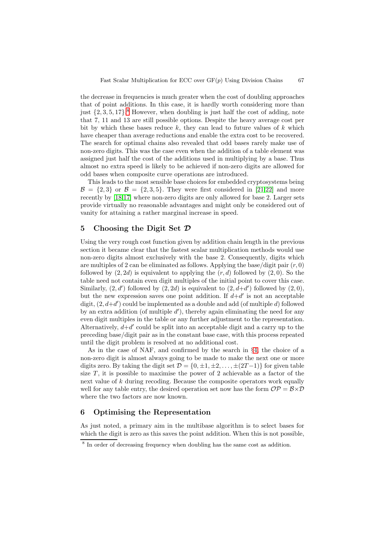the decrease in frequencies is much greater when the cost of doubling approaches that of point additions. In this case, it is hardly worth considering more than just {2, 3, 5, 17}. [8](#page-6-0) However, when doubling is just half the cost of adding, note that 7, 11 and 13 are still possible options. Despite the heavy average cost per bit by which these bases reduce  $k$ , they can lead to future values of  $k$  which have cheaper than average reductions and enable the extra cost to be recovered. The search for optimal chains also revealed that odd bases rarely make use of non-zero digits. This was the case even when the addition of a table element was assigned just half the cost of the additions used in multiplying by a base. Thus almost no extra speed is likely to be achieved if non-zero digits are allowed for odd bases when composite curve operations are introduced.

This leads to the most sensible base choices for embedded cryptosystems being  $\mathcal{B} = \{2,3\}$  or  $\mathcal{B} = \{2,3,5\}$ . They were first considered in [\[21,](#page-12-8)[22\]](#page-12-6) and more recently by [\[18,](#page-12-1)[17\]](#page-12-5) where non-zero digits are only allowed for base 2. Larger sets provide virtually no reasonable advantages and might only be considered out of vanity for attaining a rather marginal increase in speed.

## **5 Choosing the Digit Set** *D*

Using the very rough cost function given by addition chain length in the previous section it became clear that the fastest scalar multiplication methods would use non-zero digits almost exclusively with the base 2. Consequently, digits which are multiples of 2 can be eliminated as follows. Applying the base/digit pair  $(r, 0)$ followed by  $(2, 2d)$  is equivalent to applying the  $(r, d)$  followed by  $(2, 0)$ . So the table need not contain even digit multiples of the initial point to cover this case. Similarly,  $(2, d')$  followed by  $(2, 2d)$  is equivalent to  $(2, d+d')$  followed by  $(2, 0)$ , but the new expression saves one point addition. If  $d+d'$  is not an acceptable digit,  $(2, d+d')$  could be implemented as a double and add (of multiple d) followed by an extra addition (of multiple  $d'$ ), thereby again eliminating the need for any even digit multiples in the table or any further adjustment to the representation. Alternatively,  $d+d'$  could be split into an acceptable digit and a carry up to the preceding base/digit pair as in the constant base case, with this process repeated until the digit problem is resolved at no additional cost.

As in the case of NAF, and confirmed by the search in §[4,](#page-4-1) the choice of a non-zero digit is almost always going to be made to make the next one or more digits zero. By taking the digit set  $\mathcal{D} = \{0, \pm 1, \pm 2, \ldots, \pm (2T-1)\}\$  for given table size  $T$ , it is possible to maximise the power of 2 achievable as a factor of the next value of k during recoding. Because the composite operators work equally well for any table entry, the desired operation set now has the form  $\mathcal{OP} = \mathcal{B} \times \mathcal{D}$ where the two factors are now known.

# **6 Optimising the Representation**

As just noted, a primary aim in the multibase algorithm is to select bases for which the digit is zero as this saves the point addition. When this is not possible,

<span id="page-6-0"></span><sup>&</sup>lt;sup>8</sup> In order of decreasing frequency when doubling has the same cost as addition.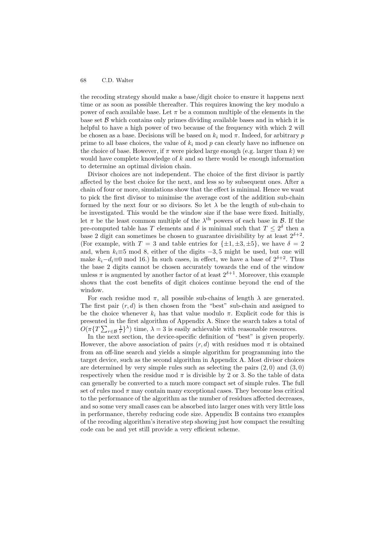the recoding strategy should make a base/digit choice to ensure it happens next time or as soon as possible thereafter. This requires knowing the key modulo a power of each available base. Let  $\pi$  be a common multiple of the elements in the base set  $\beta$  which contains only primes dividing available bases and in which it is helpful to have a high power of two because of the frequency with which 2 will be chosen as a base. Decisions will be based on  $k_i$  mod  $\pi$ . Indeed, for arbitrary p prime to all base choices, the value of  $k_i$  mod p can clearly have no influence on the choice of base. However, if  $\pi$  were picked large enough (e.g. larger than k) we would have complete knowledge of  $k$  and so there would be enough information to determine an optimal division chain.

Divisor choices are not independent. The choice of the first divisor is partly affected by the best choice for the next, and less so by subsequent ones. After a chain of four or more, simulations show that the effect is minimal. Hence we want to pick the first divisor to minimise the average cost of the addition sub-chain formed by the next four or so divisors. So let  $\lambda$  be the length of sub-chain to be investigated. This would be the window size if the base were fixed. Initially, let  $\pi$  be the least common multiple of the  $\lambda^{th}$  powers of each base in  $\beta$ . If the pre-computed table has T elements and  $\delta$  is minimal such that  $T \leq 2^{\delta}$  then a base 2 digit can sometimes be chosen to guarantee divisibility by at least  $2^{\delta+2}$ . (For example, with  $T = 3$  and table entries for  $\{\pm 1, \pm 3, \pm 5\}$ , we have  $\delta = 2$ and, when  $k_i \equiv 5 \mod 8$ , either of the digits  $-3, 5$  might be used, but one will make  $k_i-d_i \equiv 0 \mod 16$ .) In such cases, in effect, we have a base of  $2^{\delta+2}$ . Thus the base 2 digits cannot be chosen accurately towards the end of the window unless  $\pi$  is augmented by another factor of at least  $2^{\delta+1}$ . Moreover, this example shows that the cost benefits of digit choices continue beyond the end of the window.

For each residue mod  $\pi$ , all possible sub-chains of length  $\lambda$  are generated. The first pair  $(r, d)$  is then chosen from the "best" sub-chain and assigned to be the choice whenever  $k_i$  has that value modulo  $\pi$ . Explicit code for this is presented in the first algorithm of Appendix A. Since the search takes a total of  $O(\pi \{T \sum_{r \in \mathcal{B}} \frac{1}{r}\}^{\lambda})$  time,  $\lambda = 3$  is easily achievable with reasonable resources.

In the next section, the device-specific definition of "best" is given properly. However, the above association of pairs  $(r, d)$  with residues mod  $\pi$  is obtained from an off-line search and yields a simple algorithm for programming into the target device, such as the second algorithm in Appendix A. Most divisor choices are determined by very simple rules such as selecting the pairs  $(2,0)$  and  $(3,0)$ respectively when the residue mod  $\pi$  is divisible by 2 or 3. So the table of data can generally be converted to a much more compact set of simple rules. The full set of rules mod  $\pi$  may contain many exceptional cases. They become less critical to the performance of the algorithm as the number of residues affected decreases, and so some very small cases can be absorbed into larger ones with very little loss in performance, thereby reducing code size. Appendix B contains two examples of the recoding algorithm's iterative step showing just how compact the resulting code can be and yet still provide a very efficient scheme.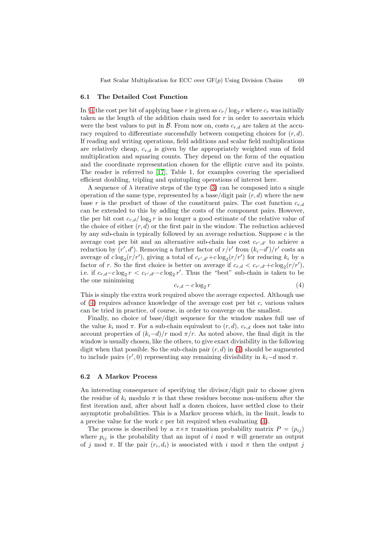#### <span id="page-8-2"></span>**6.1 The Detailed Cost Function**

In §[4](#page-4-1) the cost per bit of applying base r is given as  $c_r/\log_2 r$  where  $c_r$  was initially taken as the length of the addition chain used for r in order to ascertain which were the best values to put in  $\mathcal{B}$ . From now on, costs  $c_{r,d}$  are taken at the accuracy required to differentiate successfully between competing choices for  $(r, d)$ . If reading and writing operations, field additions and scalar field multiplications are relatively cheap,  $c_{r,d}$  is given by the appropriately weighted sum of field multiplication and squaring counts. They depend on the form of the equation and the coordinate representation chosen for the elliptic curve and its points. The reader is referred to [\[17\]](#page-12-5), Table 1, for examples covering the specialised efficient doubling, tripling and quintupling operations of interest here.

A sequence of  $\lambda$  iterative steps of the type [\(3\)](#page-4-2) can be composed into a single operation of the same type, represented by a base/digit pair  $(r, d)$  where the new base r is the product of those of the constituent pairs. The cost function  $c_{r,d}$ can be extended to this by adding the costs of the component pairs. However, the per bit cost  $c_{r,d}/\log_2 r$  is no longer a good estimate of the relative value of the choice of either  $(r, d)$  or the first pair in the window. The reduction achieved by any sub-chain is typically followed by an average reduction. Suppose c is the average cost per bit and an alternative sub-chain has cost  $c_{r',d'}$  to achieve a reduction by  $(r', d')$ . Removing a further factor of  $r/r'$  from  $(k_i-d')/r'$  costs an average of  $c \log_2(r/r')$ , giving a total of  $c_{r',d'} + c \log_2(r/r')$  for reducing  $k_i$  by a factor of r. So the first choice is better on average if  $c_{r,d} < c_{r',d'} + c \log_2(r/r'),$ i.e. if  $c_{r,d} - c \log_2 r < c_{r',d'} - c \log_2 r'$ . Thus the "best" sub-chain is taken to be the one minimising

<span id="page-8-0"></span>
$$
c_{r,d} - c \log_2 r \tag{4}
$$

This is simply the extra work required above the average expected. Although use of [\(4\)](#page-8-0) requires advance knowledge of the average cost per bit c, various values can be tried in practice, of course, in order to converge on the smallest.

Finally, no choice of base/digit sequence for the window makes full use of the value  $k_i$  mod  $\pi$ . For a sub-chain equivalent to  $(r, d)$ ,  $c_{r,d}$  does not take into account properties of  $(k_i-d)/r$  mod  $\pi/r$ . As noted above, the final digit in the window is usually chosen, like the others, to give exact divisibility in the following digit when that possible. So the sub-chain pair  $(r, d)$  in [\(4\)](#page-8-0) should be augmented to include pairs  $(r', 0)$  representing any remaining divisibility in  $k_i - d \mod \pi$ .

#### <span id="page-8-1"></span>**6.2 A Markov Process**

An interesting consequence of specifying the divisor/digit pair to choose given the residue of  $k_i$  modulo  $\pi$  is that these residues become non-uniform after the first iteration and, after about half a dozen choices, have settled close to their asymptotic probabilities. This is a Markov process which, in the limit, leads to a precise value for the work  $c$  per bit required when evaluating  $(4)$ .

The process is described by a  $\pi \times \pi$  transition probability matrix  $P = (p_{ij})$ where  $p_{ij}$  is the probability that an input of i mod  $\pi$  will generate an output of j mod  $\pi$ . If the pair  $(r_i, d_i)$  is associated with i mod  $\pi$  then the output j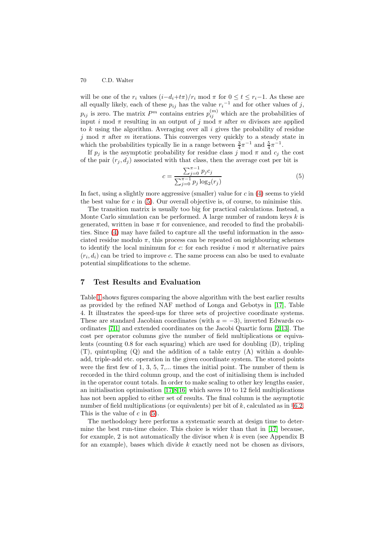will be one of the  $r_i$  values  $(i-d_i+t\pi)/r_i \mod \pi$  for  $0 \le t \le r_i-1$ . As these are all equally likely, each of these  $p_{ij}$  has the value  $r_i^{-1}$  and for other values of j,  $p_{ij}$  is zero. The matrix  $P^m$  contains entries  $p_{ij}^{(m)}$  which are the probabilities of input i mod  $\pi$  resulting in an output of j mod  $\pi$  after m divisors are applied to  $k$  using the algorithm. Averaging over all  $i$  gives the probability of residue j mod  $\pi$  after m iterations. This converges very quickly to a steady state in which the probabilities typically lie in a range between  $\frac{3}{4}\pi^{-1}$  and  $\frac{5}{4}\pi^{-1}$ .

If  $p_i$  is the asymptotic probability for residue class j mod  $\pi$  and  $c_i$  the cost of the pair  $(r_i, d_i)$  associated with that class, then the average cost per bit is

<span id="page-9-0"></span>
$$
c = \frac{\sum_{j=0}^{\pi-1} p_j c_j}{\sum_{j=0}^{\pi-1} p_j \log_2(r_j)}
$$
(5)

In fact, using a slightly more aggressive (smaller) value for  $c$  in [\(4\)](#page-8-0) seems to yield the best value for  $c$  in [\(5\)](#page-9-0). Our overall objective is, of course, to minimise this.

The transition matrix is usually too big for practical calculations. Instead, a Monte Carlo simulation can be performed. A large number of random keys  $k$  is generated, written in base  $\pi$  for convenience, and recoded to find the probabilities. Since [\(4\)](#page-8-0) may have failed to capture all the useful information in the associated residue modulo  $\pi$ , this process can be repeated on neighbouring schemes to identify the local minimum for c: for each residue i mod  $\pi$  alternative pairs  $(r_i, d_i)$  can be tried to improve c. The same process can also be used to evaluate potential simplifications to the scheme.

# **7 Test Results and Evaluation**

Table [1](#page-10-0) shows figures comparing the above algorithm with the best earlier results as provided by the refined NAF method of Longa and Gebotys in [\[17\]](#page-12-5), Table 4. It illustrates the speed-ups for three sets of projective coordinate systems. These are standard Jacobian coordinates (with  $a = -3$ ), inverted Edwards coordinates [\[7,](#page-11-7)[1\]](#page-11-8) and extended coordinates on the Jacobi Quartic form [\[2](#page-11-9)[,13\]](#page-11-2). The cost per operator columns give the number of field multiplications or equivalents (counting 0.8 for each squaring) which are used for doubling (D), tripling  $(T)$ , quintupling  $(Q)$  and the addition of a table entry  $(A)$  within a doubleadd, triple-add etc. operation in the given coordinate system. The stored points were the first few of 1, 3, 5, 7,... times the initial point. The number of them is recorded in the third column group, and the cost of initialising them is included in the operator count totals. In order to make scaling to other key lengths easier, an initialisation optimisation [\[17,](#page-12-5)[8](#page-11-10)[,16\]](#page-12-2) which saves 10 to 12 field multiplications has not been applied to either set of results. The final column is the asymptotic number of field multiplications (or equivalents) per bit of k, calculated as in §[6.2.](#page-8-1) This is the value of  $c$  in  $(5)$ .

The methodology here performs a systematic search at design time to determine the best run-time choice. This choice is wider than that in [\[17\]](#page-12-5) because, for example, 2 is not automatically the divisor when  $k$  is even (see Appendix B) for an example), bases which divide  $k$  exactly need not be chosen as divisors,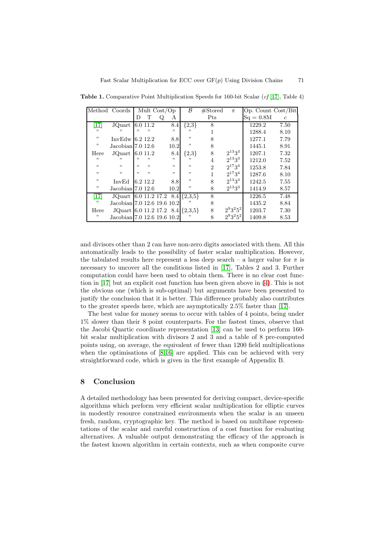<span id="page-10-0"></span>

|        | Method Coords                        |     |          | Mult $Cost/Op$ |      | B       | $# \text{Stored}$ | $\pi$         | Op. Count Cost/Bit |                |
|--------|--------------------------------------|-----|----------|----------------|------|---------|-------------------|---------------|--------------------|----------------|
|        |                                      | D   | Т        |                | Α    |         | Pts               |               | $Sq = 0.8M$        | $\mathfrak{c}$ |
| [17]   | JQuart                               |     | 6.0 11.2 |                | 8.4  | ${2,3}$ | 8                 |               | 1229.2             | 7.50           |
|        |                                      | "   |          |                | "    | , ,     |                   |               | 1288.4             | 8.10           |
| "      | InvEdw $6.2$ 12.2                    |     |          |                | 8.8  | , ,     | 8                 |               | 1277.1             | 7.79           |
| "      | $Jacobian$ <sup>7.0</sup> 12.6       |     |          |                | 10.2 | "       | 8                 |               | 1445.1             | 8.91           |
| Here   | JQuart 6.0 11.2                      |     |          |                | 8.4  | ${2,3}$ | 8                 | $2^{13}3^3$   | 1207.1             | 7.32           |
| , ,    |                                      | "   | "        |                | "    | , ,     | $\overline{4}$    | $2^{13}3^3$   | 1212.0             | 7.52           |
| , ,    | , ,                                  | , , | , ,      |                | "    | , ,     | $\overline{2}$    | $2^{17}3^4$   | 1253.8             | 7.84           |
| , ,    | , ,                                  | , , | , ,      |                | "    | , ,     | 1                 | $2^{17}3^4$   | 1287.6             | 8.10           |
| "      | InvEd                                |     | 6.2 12.2 |                | 8.8  | ,,      | 8                 | $2^{13}3^3$   | 1242.5             | 7.55           |
| ,,     | $Jacobian$ <sup>7.0</sup> 12.6       |     |          |                | 10.2 | ,,      | 8                 | $2^{13}3^3$   | 1414.9             | 8.57           |
| $[17]$ | JQuart 6.0 11.2 17.2 8.4 $\{2,3,5\}$ |     |          |                |      |         | 8                 |               | 1226.5             | 7.48           |
| ,,     | Jacobian 7.0 12.6 19.6 10.2          |     |          |                |      |         | 8                 |               | 1435.2             | 8.84           |
| Here   | JQuart 6.0 11.2 17.2 8.4 $\{2,3,5\}$ |     |          |                |      |         | 8                 | $2^9 3^2 5^2$ | 1203.7             | 7.30           |
| "      | Jacobian 7.0 12.6 19.6 10.2          |     |          |                |      |         | 8                 | $2^93^25^2$   | 1409.8             | 8.53           |

**Table 1.** Comparative Point Multiplication Speeds for 160-bit Scalar (*cf* [\[17\]](#page-12-5), Table 4)

and divisors other than 2 can have non-zero digits associated with them. All this automatically leads to the possibility of faster scalar multiplication. However, the tabulated results here represent a less deep search – a larger value for  $\pi$  is necessary to uncover all the conditions listed in [\[17\]](#page-12-5), Tables 2 and 3. Further computation could have been used to obtain them. There is no clear cost function in [\[17\]](#page-12-5) but an explicit cost function has been given above in [\(4\)](#page-8-0). This is not the obvious one (which is sub-optimal) but arguments have been presented to justify the conclusion that it is better. This difference probably also contributes to the greater speeds here, which are asymptotically 2.5% faster than [\[17\]](#page-12-5).

The best value for money seems to occur with tables of 4 points, being under 1% slower than their 8 point counterparts. For the fastest times, observe that the Jacobi Quartic coordinate representation [\[13\]](#page-11-2) can be used to perform 160 bit scalar multiplication with divisors 2 and 3 and a table of 8 pre-computed points using, on average, the equivalent of fewer than 1200 field multiplications when the optimisations of  $[8,16]$  $[8,16]$  are applied. This can be achieved with very straightforward code, which is given in the first example of Appendix B.

# **8 Conclusion**

A detailed methodology has been presented for deriving compact, device-specific algorithms which perform very efficient scalar multiplication for elliptic curves in modestly resource constrained environments when the scalar is an unseen fresh, random, cryptographic key. The method is based on multibase representations of the scalar and careful construction of a cost function for evaluating alternatives. A valuable output demonstrating the efficacy of the approach is the fastest known algorithm in certain contexts, such as when composite curve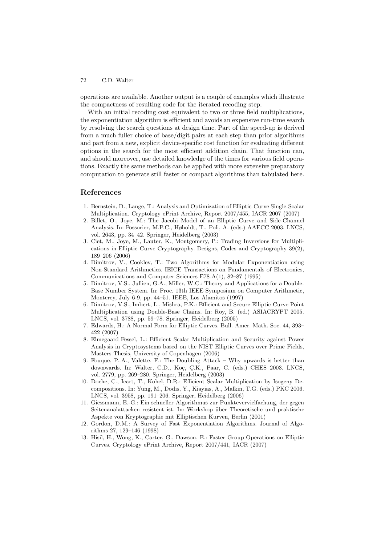operations are available. Another output is a couple of examples which illustrate the compactness of resulting code for the iterated recoding step.

With an initial recoding cost equivalent to two or three field multiplications, the exponentiation algorithm is efficient and avoids an expensive run-time search by resolving the search questions at design time. Part of the speed-up is derived from a much fuller choice of base/digit pairs at each step than prior algorithms and part from a new, explicit device-specific cost function for evaluating different options in the search for the most efficient addition chain. That function can, and should moreover, use detailed knowledge of the times for various field operations. Exactly the same methods can be applied with more extensive preparatory computation to generate still faster or compact algorithms than tabulated here.

## <span id="page-11-8"></span>**References**

- 1. Bernstein, D., Lange, T.: Analysis and Optimization of Elliptic-Curve Single-Scalar Multiplication. Cryptology ePrint Archive, Report 2007/455, IACR 2007 (2007)
- <span id="page-11-9"></span>2. Billet, O., Joye, M.: The Jacobi Model of an Elliptic Curve and Side-Channel Analysis. In: Fossorier, M.P.C., Høholdt, T., Poli, A. (eds.) AAECC 2003. LNCS, vol. 2643, pp. 34–42. Springer, Heidelberg (2003)
- <span id="page-11-5"></span>3. Ciet, M., Joye, M., Lauter, K., Montgomery, P.: Trading Inversions for Multiplications in Elliptic Curve Cryptography. Designs, Codes and Cryptography 39(2), 189–206 (2006)
- <span id="page-11-3"></span>4. Dimitrov, V., Cooklev, T.: Two Algorithms for Modular Exponentiation using Non-Standard Arithmetics. IEICE Transactions on Fundamentals of Electronics, Communications and Computer Sciences E78-A(1), 82–87 (1995)
- <span id="page-11-4"></span>5. Dimitrov, V.S., Jullien, G.A., Miller, W.C.: Theory and Applications for a Double-Base Number System. In: Proc. 13th IEEE Symposium on Computer Arithmetic, Monterey, July 6-9, pp. 44–51. IEEE, Los Alamitos (1997)
- <span id="page-11-1"></span>6. Dimitrov, V.S., Imbert, L., Mishra, P.K.: Efficient and Secure Elliptic Curve Point Multiplication using Double-Base Chains. In: Roy, B. (ed.) ASIACRYPT 2005. LNCS, vol. 3788, pp. 59–78. Springer, Heidelberg (2005)
- <span id="page-11-7"></span>7. Edwards, H.: A Normal Form for Elliptic Curves. Bull. Amer. Math. Soc. 44, 393– 422 (2007)
- <span id="page-11-10"></span>8. Elmegaard-Fessel, L.: Efficient Scalar Multiplication and Security against Power Analysis in Cryptosystems based on the NIST Elliptic Curves over Prime Fields, Masters Thesis, University of Copenhagen (2006)
- 9. Fouque, P.-A., Valette, F.: The Doubling Attack Why upwards is better than downwards. In: Walter, C.D., Koç, Ç.K., Paar, C. (eds.) CHES 2003. LNCS, vol. 2779, pp. 269–280. Springer, Heidelberg (2003)
- <span id="page-11-6"></span>10. Doche, C., Icart, T., Kohel, D.R.: Efficient Scalar Multiplication by Isogeny Decompositions. In: Yung, M., Dodis, Y., Kiayias, A., Malkin, T.G. (eds.) PKC 2006. LNCS, vol. 3958, pp. 191–206. Springer, Heidelberg (2006)
- 11. Giessmann, E.-G.: Ein schneller Algorithmus zur Punktevervielfachung, der gegen Seitenanalattacken resistent ist. In: Workshop über Theoretische und praktische Aspekte von Kryptographie mit Elliptischen Kurven, Berlin (2001)
- <span id="page-11-0"></span>12. Gordon, D.M.: A Survey of Fast Exponentiation Algorithms. Journal of Algorithms 27, 129–146 (1998)
- <span id="page-11-2"></span>13. Hisil, H., Wong, K., Carter, G., Dawson, E.: Faster Group Operations on Elliptic Curves. Cryptology ePrint Archive, Report 2007/441, IACR (2007)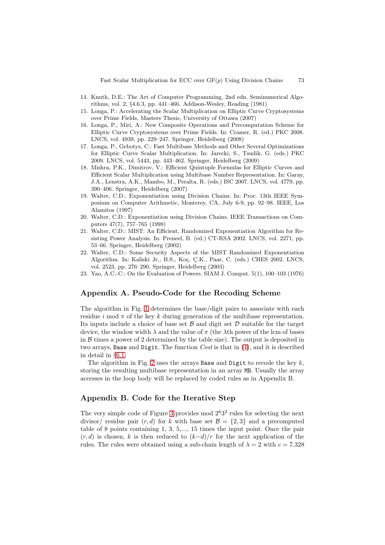- <span id="page-12-0"></span>14. Knuth, D.E.: The Art of Computer Programming, 2nd edn. Seminumerical Algorithms, vol. 2, §4.6.3, pp. 441–466. Addison-Wesley, Reading (1981)
- <span id="page-12-7"></span>15. Longa, P.: Accelerating the Scalar Multiplication on Elliptic Curve Cryptosystems over Prime Fields, Masters Thesis, University of Ottawa (2007)
- <span id="page-12-2"></span>16. Longa, P., Miri, A.: New Composite Operations and Precomputation Scheme for Elliptic Curve Cryptosystems over Prime Fields. In: Cramer, R. (ed.) PKC 2008. LNCS, vol. 4939, pp. 229–247. Springer, Heidelberg (2008)
- <span id="page-12-5"></span>17. Longa, P., Gebotys, C.: Fast Multibase Methods and Other Several Optimizations for Elliptic Curve Scalar Multiplication. In: Jarecki, S., Tsudik, G. (eds.) PKC 2009. LNCS, vol. 5443, pp. 443–462. Springer, Heidelberg (2009)
- <span id="page-12-1"></span>18. Mishra, P.K., Dimitrov, V.: Efficient Quintuple Formulas for Elliptic Curves and Efficient Scalar Multiplication using Multibase Number Representation. In: Garay, J.A., Lenstra, A.K., Mambo, M., Peralta, R. (eds.) ISC 2007. LNCS, vol. 4779, pp. 390–406. Springer, Heidelberg (2007)
- <span id="page-12-3"></span>19. Walter, C.D.: Exponentiation using Division Chains. In: Proc. 13th IEEE Symposium on Computer Arithmetic, Monterey, CA, July 6-9, pp. 92–98. IEEE, Los Alamitos (1997)
- <span id="page-12-4"></span>20. Walter, C.D.: Exponentiation using Division Chains. IEEE Transactions on Computers 47(7), 757–765 (1998)
- <span id="page-12-8"></span>21. Walter, C.D.: MIST: An Efficient, Randomized Exponentiation Algorithm for Resisting Power Analysis. In: Preneel, B. (ed.) CT-RSA 2002. LNCS, vol. 2271, pp. 53–66. Springer, Heidelberg (2002)
- <span id="page-12-6"></span>22. Walter, C.D.: Some Security Aspects of the MIST Randomized Exponentiation Algorithm. In: Kaliski Jr., B.S., Koç, Ç.K., Paar, C. (eds.) CHES 2002. LNCS, vol. 2523, pp. 276–290. Springer, Heidelberg (2003)
- 23. Yao, A.C.-C.: On the Evaluation of Powers. SIAM J. Comput. 5(1), 100–103 (1976)

# **Appendix A. Pseudo-Code for the Recoding Scheme**

The algorithm in Fig. [1](#page-13-0) determines the base/digit pairs to associate with each residue i mod  $\pi$  of the key k during generation of the multibase representation. Its inputs include a choice of base set  $\beta$  and digit set  $\mathcal D$  suitable for the target device, the window width  $\lambda$  and the value of  $\pi$  (the  $\lambda$ th power of the lcm of bases in  $\beta$  times a power of 2 determined by the table size). The output is deposited in two arrays, Base and Digit. The function *Cost* is that in [\(4\)](#page-8-0), and it is described in detail in §[6.1.](#page-8-2)

The algorithm in Fig. [2](#page-13-1) uses the arrays Base and Digit to recode the key  $k$ , storing the resulting multibase representation in an array MB. Usually the array accesses in the loop body will be replaced by coded rules as in Appendix B.

## **Appendix B. Code for the Iterative Step**

The very simple code of Figure [3](#page-13-2) provides mod  $2^{6}3^{2}$  rules for selecting the next divisor/ residue pair  $(r, d)$  for k with base set  $\mathcal{B} = \{2, 3\}$  and a precomputed table of 8 points containing 1, 3, 5,..., 15 times the input point. Once the pair  $(r, d)$  is chosen, k is then reduced to  $(k-d)/r$  for the next application of the rules. The rules were obtained using a sub-chain length of  $\lambda = 2$  with  $c = 7.328$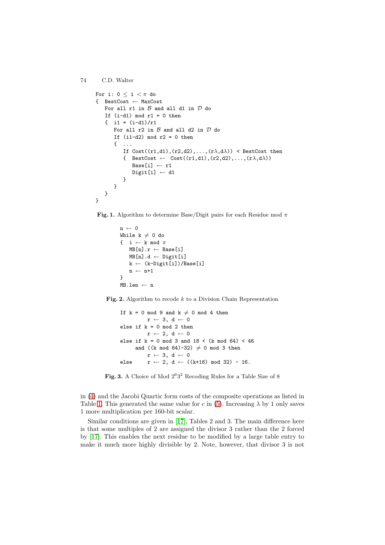```
For i: 0 \le i \le \pi do
{ BestCost ← MaxCost
   For all r1 in \beta and all d1 in \mathcal D do
   If (i-d1) mod r1 = 0 then
    { i1 = (i-d1)/r1
       For all r2 in \beta and all d2 in \mathcal D do
       If (i1-d2) mod r2 = 0 then
       \left\{ \right.If Cost((r1,d1),(r2,d2),\ldots,(r\lambda,d\lambda)) < BestCost then
           { BestCost \leftarrow Cost((r1,d1),(r2,d2),...,(r\lambda,d\lambda))
               Base[i] \leftarrow r1Digit[i] ← d1
           }
       }
   }
}
```
**Fig. 1.** Algorithm to determine Base/Digit pairs for each Residue mod  $\pi$ 

```
n \leftarrow 0While k \neq 0 do
\{ i \leftarrow k \mod \pi \}MB[n].r \leftarrow Base[i]MB[n].d \leftarrow Digit[i]
    k \leftarrow (k\text{-Digit}[i])/Base[i]n \leftarrow n+1}
MB.len \leftarrow n
```
**Fig. 2.** Algorithm to recode k to a Division Chain Representation

```
If k = 0 \mod 9 and k \neq 0 \mod 4 then
           r \leftarrow 3, d \leftarrow 0else if k = 0 mod 2 then
           r - 2, d \leftarrow 0else if k = 0 mod 3 and 18 < (k \mod 64) < 46and ((k mod 64)-32) \neq 0 mod 3 then
           r \leftarrow 3, d \leftarrow 0else r \leftarrow 2, d \leftarrow ((k+16) mod 32) - 16.
```
in [\(4\)](#page-8-0) and the Jacobi Quartic form costs of the composite operations as listed in Table [1.](#page-10-0) This generated the same value for c in [\(5\)](#page-9-0). Increasing  $\lambda$  by 1 only saves 1 more multiplication per 160-bit scalar.

Similar conditions are given in [\[17\]](#page-12-5), Tables 2 and 3. The main difference here is that some multiples of 2 are assigned the divisor 3 rather than the 2 forced by [\[17\]](#page-12-5). This enables the next residue to be modified by a large table entry to make it much more highly divisible by 2. Note, however, that divisor 3 is not

```
74 C.D. Walter
```
<span id="page-13-2"></span>**Fig. 3.** A Choice of Mod  $2^63^2$  Recoding Rules for a Table Size of 8